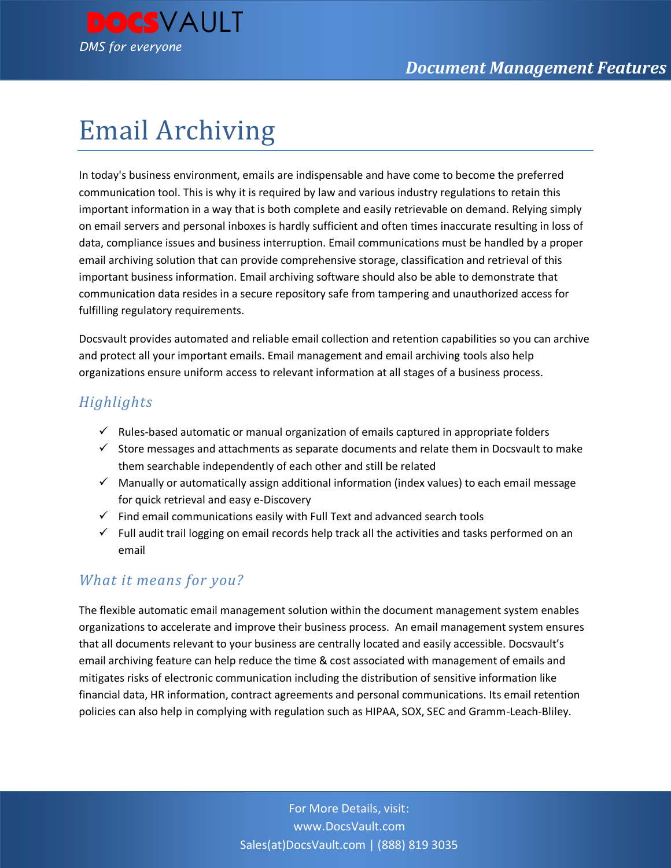

# Email Archiving

In today's business environment, emails are indispensable and have come to become the preferred communication tool. This is why it is required by law and various industry regulations to retain this important information in a way that is both complete and easily retrievable on demand. Relying simply on email servers and personal inboxes is hardly sufficient and often times inaccurate resulting in loss of data, compliance issues and business interruption. Email communications must be handled by a proper email archiving solution that can provide comprehensive storage, classification and retrieval of this important business information. Email archiving software should also be able to demonstrate that communication data resides in a secure repository safe from tampering and unauthorized access for fulfilling regulatory requirements.

Docsvault provides automated and reliable email collection and retention capabilities so you can archive and protect all your important emails. Email management and email archiving tools also help organizations ensure uniform access to relevant information at all stages of a business process.

## *Highlights*

- $\checkmark$  Rules-based automatic or manual organization of emails captured in appropriate folders
- $\checkmark$  Store messages and attachments as separate documents and relate them in Docsvault to make them searchable independently of each other and still be related
- $\checkmark$  Manually or automatically assign additional information (index values) to each email message for quick retrieval and easy e-Discovery
- $\checkmark$  Find email communications easily with Full Text and advanced search tools
- $\checkmark$  Full audit trail logging on email records help track all the activities and tasks performed on an email

## *What it means for you?*

The flexible automatic email management solution within the document management system enables organizations to accelerate and improve their business process. An email management system ensures that all documents relevant to your business are centrally located and easily accessible. Docsvault's email archiving feature can help reduce the time & cost associated with management of emails and mitigates risks of electronic communication including the distribution of sensitive information like financial data, HR information, contract agreements and personal communications. Its email retention policies can also help in complying with regulation such as HIPAA, SOX, SEC and Gramm-Leach-Bliley.

> For More Details, visit: www.DocsVault.com Sales(at)DocsVault.com | (888) 819 3035